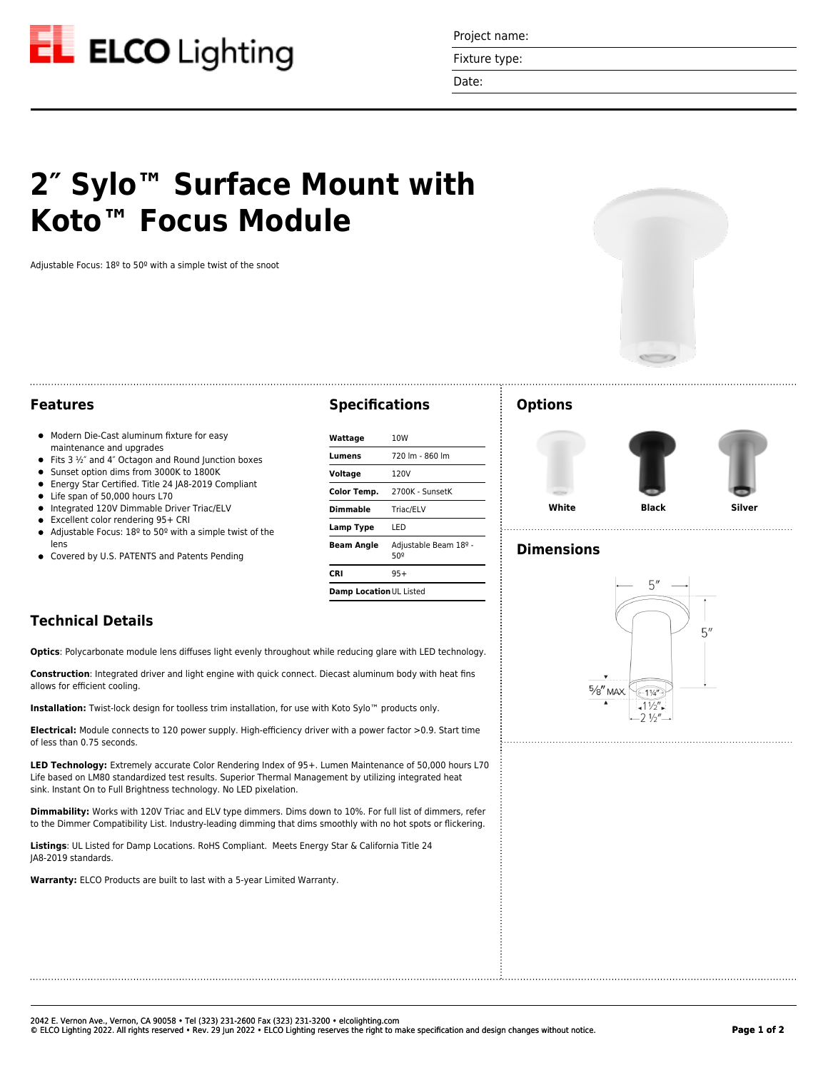

Project name:

Fixture type:

Date:

# **2″ Sylo™ Surface Mount with Koto™ Focus Module**

Adjustable Focus: 18º to 50º with a simple twist of the snoot



#### **Features**

- $\bullet$  Modern Die-Cast aluminum fixture for easy maintenance and upgrades
- Fits  $3 \frac{1}{2}$  and  $4$ " Octagon and Round Junction boxes
- Sunset option dims from 3000K to 1800K
- Energy Star Certified. Title 24 JA8-2019 Compliant  $\bullet$
- Life span of 50,000 hours L70
- $\bullet$  Integrated 120V Dimmable Driver Triac/ELV
- Excellent color rendering 95+ CRI
- Adjustable Focus: 18º to 50º with a simple twist of the  $\bullet$ lens
- **•** Covered by U.S. PATENTS and Patents Pending

#### **Specifications**

| Wattage                 | 10W                          |
|-------------------------|------------------------------|
| Lumens                  | 720 lm - 860 lm              |
| Voltage                 | 120V                         |
| Color Temp.             | 2700K - SunsetK              |
| Dimmable                | Triac/ELV                    |
| Lamp Type               | LED                          |
| <b>Beam Angle</b>       | Adjustable Beam 18º -<br>50º |
| CRI                     | $95+$                        |
| Damp Location UL Listed |                              |

## **Technical Details**

**Optics**: Polycarbonate module lens diffuses light evenly throughout while reducing glare with LED technology.

**Construction**: Integrated driver and light engine with quick connect. Diecast aluminum body with heat fins allows for efficient cooling.

**Installation:** Twist-lock design for toolless trim installation, for use with Koto Sylo™ products only.

**Electrical:** Module connects to 120 power supply. High-efficiency driver with a power factor >0.9. Start time of less than 0.75 seconds.

**LED Technology:** Extremely accurate Color Rendering Index of 95+. Lumen Maintenance of 50,000 hours L70 Life based on LM80 standardized test results. Superior Thermal Management by utilizing integrated heat sink. Instant On to Full Brightness technology. No LED pixelation.

**Dimmability:** Works with 120V Triac and ELV type dimmers. Dims down to 10%. For full list of dimmers, refer to the Dimmer Compatibility List. Industry-leading dimming that dims smoothly with no hot spots or flickering.

**Listings**: UL Listed for Damp Locations. RoHS Compliant. Meets Energy Star & California Title 24 JA8-2019 standards.

**Warranty:** ELCO Products are built to last with a 5-year Limited Warranty.

#### **Options**



## **Dimensions**